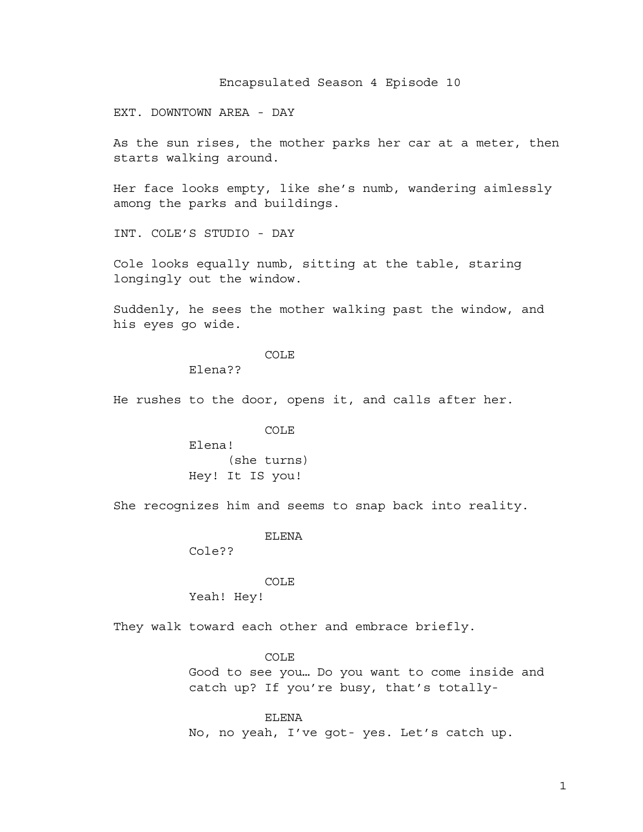Encapsulated Season 4 Episode 10

EXT. DOWNTOWN AREA - DAY

As the sun rises, the mother parks her car at a meter, then starts walking around.

Her face looks empty, like she's numb, wandering aimlessly among the parks and buildings.

INT. COLE'S STUDIO - DAY

Cole looks equally numb, sitting at the table, staring longingly out the window.

Suddenly, he sees the mother walking past the window, and his eyes go wide.

# COLE

Elena??

He rushes to the door, opens it, and calls after her.

#### COLE

Elena! (she turns) Hey! It IS you!

She recognizes him and seems to snap back into reality.

ELENA

Cole??

COLE

Yeah! Hey!

They walk toward each other and embrace briefly.

### COLE

Good to see you… Do you want to come inside and catch up? If you're busy, that's totally-

ELENA No, no yeah, I've got- yes. Let's catch up.

1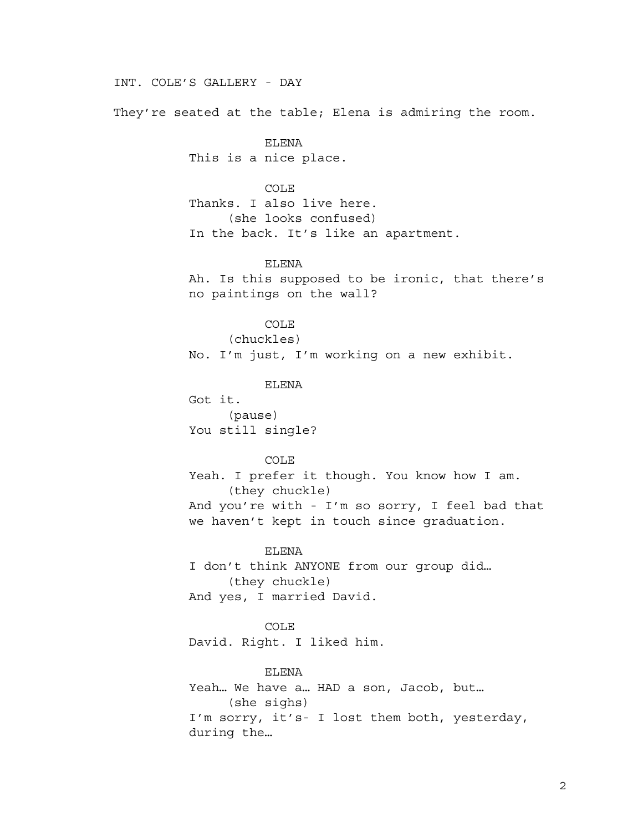# INT. COLE'S GALLERY - DAY

They're seated at the table; Elena is admiring the room.

ELENA This is a nice place.

COLE

Thanks. I also live here. (she looks confused) In the back. It's like an apartment.

ELENA

Ah. Is this supposed to be ironic, that there's no paintings on the wall?

COLE

(chuckles) No. I'm just, I'm working on a new exhibit.

ELENA

Got it. (pause) You still single?

COLE

Yeah. I prefer it though. You know how I am. (they chuckle) And you're with - I'm so sorry, I feel bad that we haven't kept in touch since graduation.

ELENA

I don't think ANYONE from our group did… (they chuckle) And yes, I married David.

COLE

David. Right. I liked him.

ELENA

Yeah… We have a… HAD a son, Jacob, but… (she sighs) I'm sorry, it's- I lost them both, yesterday, during the…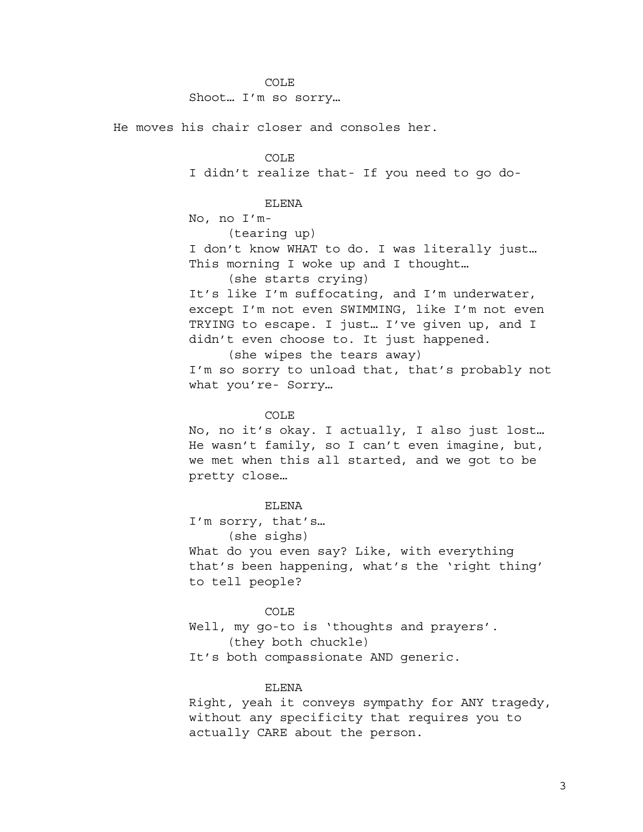Shoot… I'm so sorry…

He moves his chair closer and consoles her.

COLE I didn't realize that- If you need to go do-

# ELENA

No, no I'm-

(tearing up)

I don't know WHAT to do. I was literally just… This morning I woke up and I thought…

(she starts crying)

It's like I'm suffocating, and I'm underwater, except I'm not even SWIMMING, like I'm not even TRYING to escape. I just… I've given up, and I didn't even choose to. It just happened.

(she wipes the tears away) I'm so sorry to unload that, that's probably not what you're- Sorry…

#### COLE

No, no it's okay. I actually, I also just lost… He wasn't family, so I can't even imagine, but, we met when this all started, and we got to be pretty close…

#### ELENA

I'm sorry, that's… (she sighs)

What do you even say? Like, with everything that's been happening, what's the 'right thing' to tell people?

#### COLE

Well, my go-to is 'thoughts and prayers'. (they both chuckle) It's both compassionate AND generic.

#### ELENA

Right, yeah it conveys sympathy for ANY tragedy, without any specificity that requires you to actually CARE about the person.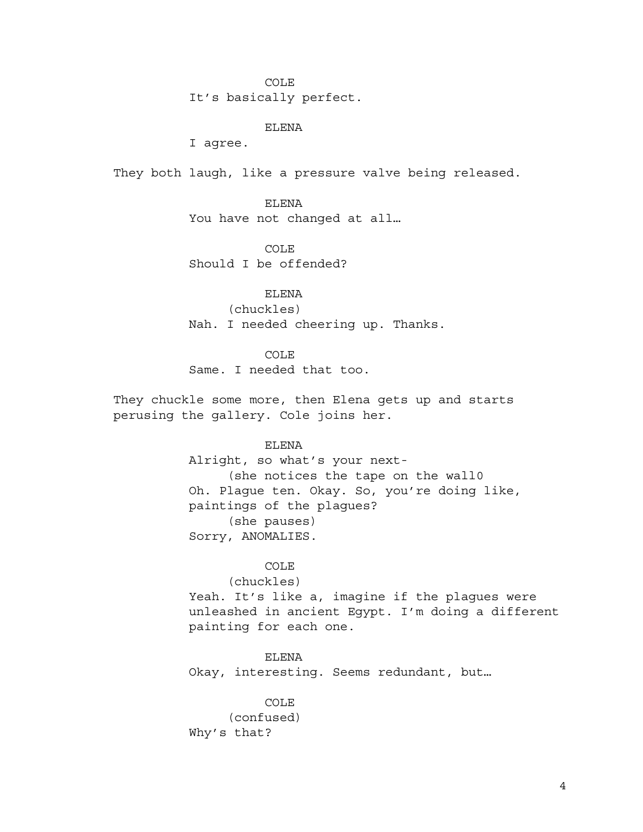It's basically perfect.

ELENA

I agree.

They both laugh, like a pressure valve being released.

ELENA You have not changed at all…

COLE Should I be offended?

ELENA (chuckles) Nah. I needed cheering up. Thanks.

COLE

Same. I needed that too.

They chuckle some more, then Elena gets up and starts perusing the gallery. Cole joins her.

ELENA

Alright, so what's your next- (she notices the tape on the wall0 Oh. Plague ten. Okay. So, you're doing like, paintings of the plagues? (she pauses) Sorry, ANOMALIES.

### COLE

(chuckles)

Yeah. It's like a, imagine if the plagues were unleashed in ancient Egypt. I'm doing a different painting for each one.

ELENA Okay, interesting. Seems redundant, but…

COLE (confused) Why's that?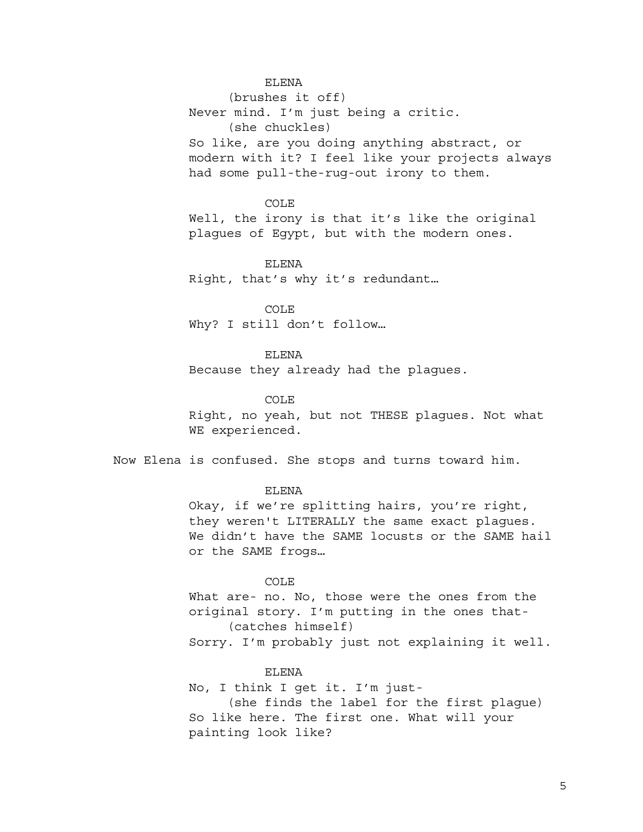# ELENA

(brushes it off) Never mind. I'm just being a critic. (she chuckles) So like, are you doing anything abstract, or modern with it? I feel like your projects always had some pull-the-rug-out irony to them.

### COLE

Well, the irony is that it's like the original plagues of Egypt, but with the modern ones.

# ELENA

Right, that's why it's redundant…

# COLE

Why? I still don't follow…

# ELENA

Because they already had the plagues.

#### COLE

Right, no yeah, but not THESE plagues. Not what WE experienced.

Now Elena is confused. She stops and turns toward him.

#### ELENA

Okay, if we're splitting hairs, you're right, they weren't LITERALLY the same exact plagues. We didn't have the SAME locusts or the SAME hail or the SAME frogs…

#### COLE

What are- no. No, those were the ones from the original story. I'm putting in the ones that- (catches himself) Sorry. I'm probably just not explaining it well.

# ELENA

No, I think I get it. I'm just- (she finds the label for the first plague) So like here. The first one. What will your painting look like?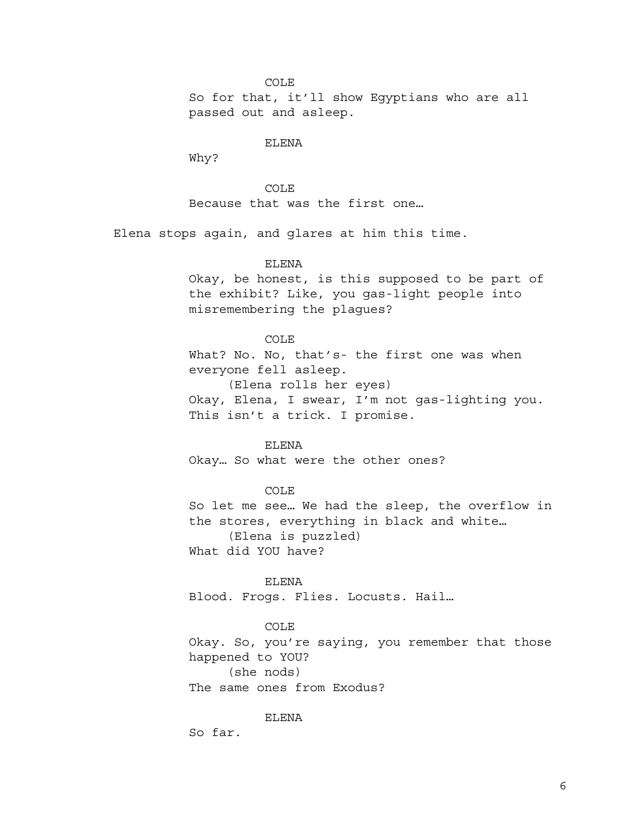So for that, it'll show Egyptians who are all passed out and asleep.

# ELENA

Why?

COLE Because that was the first one…

Elena stops again, and glares at him this time.

# ELENA

Okay, be honest, is this supposed to be part of the exhibit? Like, you gas-light people into misremembering the plagues?

#### COLE

What? No. No, that's- the first one was when everyone fell asleep. (Elena rolls her eyes) Okay, Elena, I swear, I'm not gas-lighting you. This isn't a trick. I promise.

### ELENA

Okay… So what were the other ones?

## COLE

So let me see… We had the sleep, the overflow in the stores, everything in black and white… (Elena is puzzled)

What did YOU have?

#### ELENA

Blood. Frogs. Flies. Locusts. Hail…

# COLE

Okay. So, you're saying, you remember that those happened to YOU? (she nods)

The same ones from Exodus?

ELENA

So far.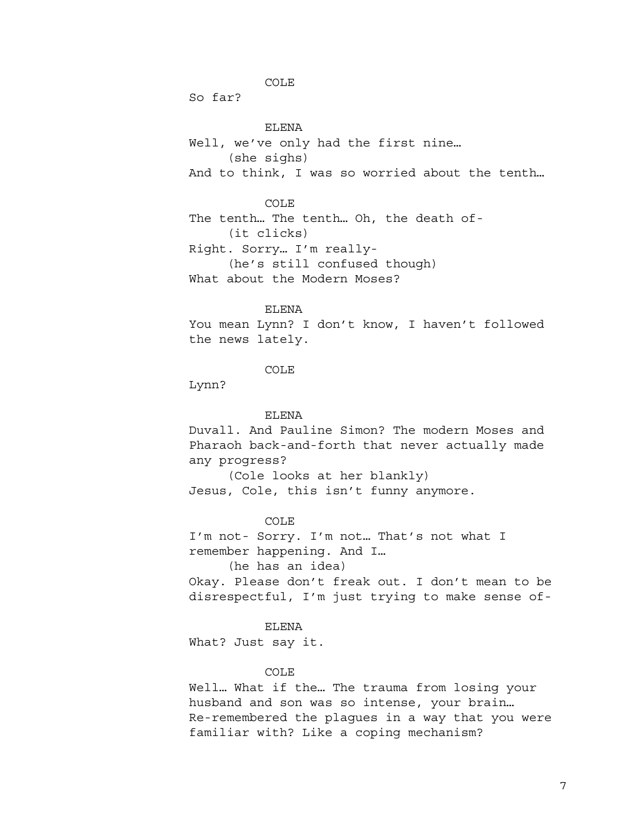So far?

ELENA Well, we've only had the first nine… (she sighs) And to think, I was so worried about the tenth…

COLE

The tenth… The tenth… Oh, the death of- (it clicks)

Right. Sorry… I'm really- (he's still confused though) What about the Modern Moses?

#### ELENA

You mean Lynn? I don't know, I haven't followed the news lately.

# COLE

Lynn?

# ELENA

Duvall. And Pauline Simon? The modern Moses and Pharaoh back-and-forth that never actually made any progress?

(Cole looks at her blankly) Jesus, Cole, this isn't funny anymore.

### COLE

I'm not- Sorry. I'm not… That's not what I remember happening. And I…

(he has an idea)

Okay. Please don't freak out. I don't mean to be disrespectful, I'm just trying to make sense of-

#### ELENA

What? Just say it.

# COLE

Well… What if the… The trauma from losing your husband and son was so intense, your brain… Re-remembered the plagues in a way that you were familiar with? Like a coping mechanism?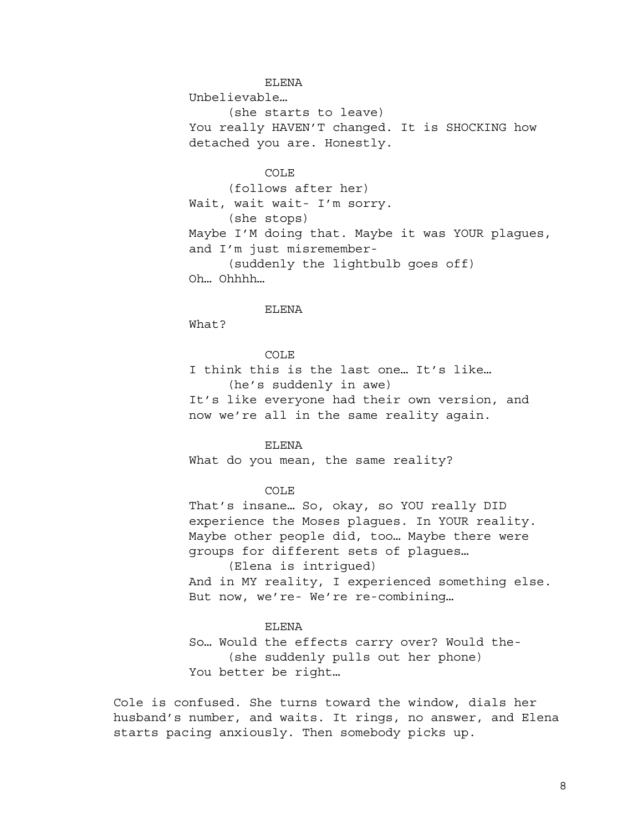# ELENA

Unbelievable…

(she starts to leave) You really HAVEN'T changed. It is SHOCKING how detached you are. Honestly.

# COLE

(follows after her) Wait, wait wait- I'm sorry. (she stops) Maybe I'M doing that. Maybe it was YOUR plagues, and I'm just misremember- (suddenly the lightbulb goes off) Oh… Ohhhh…

### ELENA

What?

# COLE

I think this is the last one… It's like… (he's suddenly in awe) It's like everyone had their own version, and now we're all in the same reality again.

# ELENA

What do you mean, the same reality?

## COLE

That's insane… So, okay, so YOU really DID experience the Moses plagues. In YOUR reality. Maybe other people did, too… Maybe there were groups for different sets of plagues…

(Elena is intrigued) And in MY reality, I experienced something else. But now, we're- We're re-combining…

### ELENA

So… Would the effects carry over? Would the- (she suddenly pulls out her phone) You better be right…

Cole is confused. She turns toward the window, dials her husband's number, and waits. It rings, no answer, and Elena starts pacing anxiously. Then somebody picks up.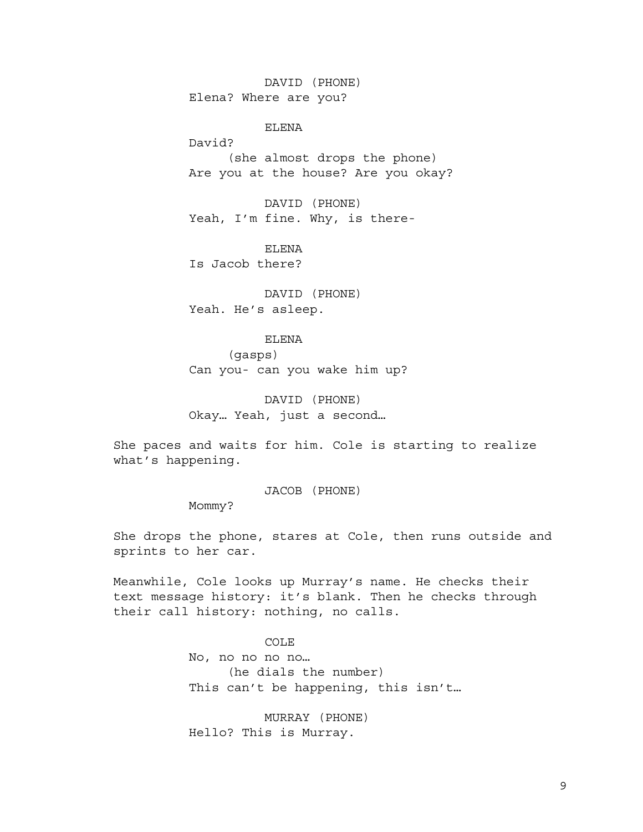DAVID (PHONE) Elena? Where are you?

ELENA

David?

(she almost drops the phone) Are you at the house? Are you okay?

DAVID (PHONE) Yeah, I'm fine. Why, is there-

ELENA Is Jacob there?

DAVID (PHONE) Yeah. He's asleep.

#### ELENA

(gasps) Can you- can you wake him up?

DAVID (PHONE) Okay… Yeah, just a second…

She paces and waits for him. Cole is starting to realize what's happening.

JACOB (PHONE)

Mommy?

She drops the phone, stares at Cole, then runs outside and sprints to her car.

Meanwhile, Cole looks up Murray's name. He checks their text message history: it's blank. Then he checks through their call history: nothing, no calls.

COLE

No, no no no no… (he dials the number) This can't be happening, this isn't…

MURRAY (PHONE) Hello? This is Murray.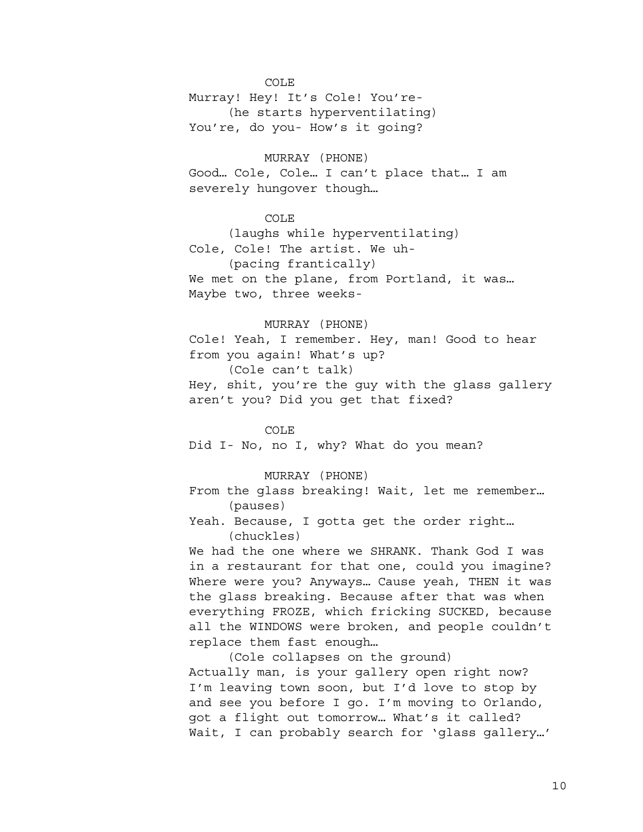Murray! Hey! It's Cole! You're- (he starts hyperventilating) You're, do you- How's it going?

MURRAY (PHONE) Good… Cole, Cole… I can't place that… I am severely hungover though…

COLE

(laughs while hyperventilating) Cole, Cole! The artist. We uh- (pacing frantically) We met on the plane, from Portland, it was… Maybe two, three weeks-

# MURRAY (PHONE)

Cole! Yeah, I remember. Hey, man! Good to hear from you again! What's up?

(Cole can't talk)

Hey, shit, you're the guy with the glass gallery aren't you? Did you get that fixed?

### COLE

Did I- No, no I, why? What do you mean?

# MURRAY (PHONE)

From the glass breaking! Wait, let me remember… (pauses)

Yeah. Because, I gotta get the order right… (chuckles)

We had the one where we SHRANK. Thank God I was in a restaurant for that one, could you imagine? Where were you? Anyways… Cause yeah, THEN it was the glass breaking. Because after that was when everything FROZE, which fricking SUCKED, because all the WINDOWS were broken, and people couldn't replace them fast enough…

(Cole collapses on the ground) Actually man, is your gallery open right now? I'm leaving town soon, but I'd love to stop by and see you before I go. I'm moving to Orlando, got a flight out tomorrow… What's it called? Wait, I can probably search for 'glass gallery…'